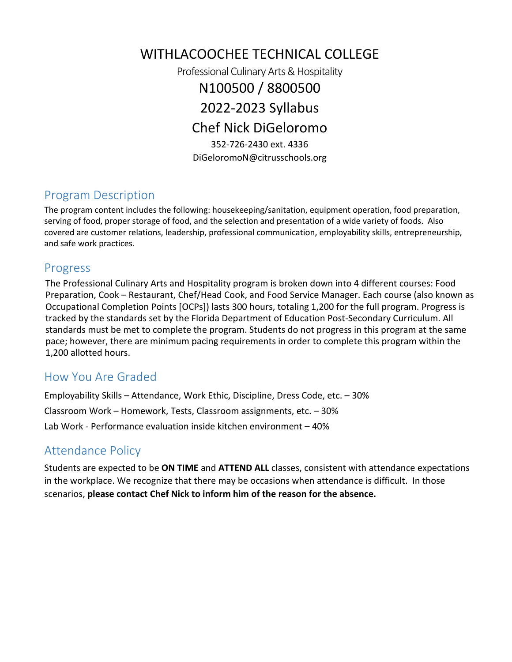WITHLACOOCHEE TECHNICAL COLLEGE Professional Culinary Arts & Hospitality N100500 / 8800500 2022-2023 Syllabus Chef Nick DiGeloromo 352-726-2430 ext. 4336 DiGeloromoN@citrusschools.org

# Program Description

The program content includes the following: housekeeping/sanitation, equipment operation, food preparation, serving of food, proper storage of food, and the selection and presentation of a wide variety of foods. Also covered are customer relations, leadership, professional communication, employability skills, entrepreneurship, and safe work practices.

### Progress

The Professional Culinary Arts and Hospitality program is broken down into 4 different courses: Food Preparation, Cook – Restaurant, Chef/Head Cook, and Food Service Manager. Each course (also known as Occupational Completion Points [OCPs]) lasts 300 hours, totaling 1,200 for the full program. Progress is tracked by the standards set by the Florida Department of Education Post-Secondary Curriculum. All standards must be met to complete the program. Students do not progress in this program at the same pace; however, there are minimum pacing requirements in order to complete this program within the 1,200 allotted hours.

### How You Are Graded

Employability Skills – Attendance, Work Ethic, Discipline, Dress Code, etc. – 30% Classroom Work – Homework, Tests, Classroom assignments, etc. – 30% Lab Work - Performance evaluation inside kitchen environment – 40%

# Attendance Policy

Students are expected to be **ON TIME** and **ATTEND ALL** classes, consistent with attendance expectations in the workplace. We recognize that there may be occasions when attendance is difficult. In those scenarios, **please contact Chef Nick to inform him of the reason for the absence.**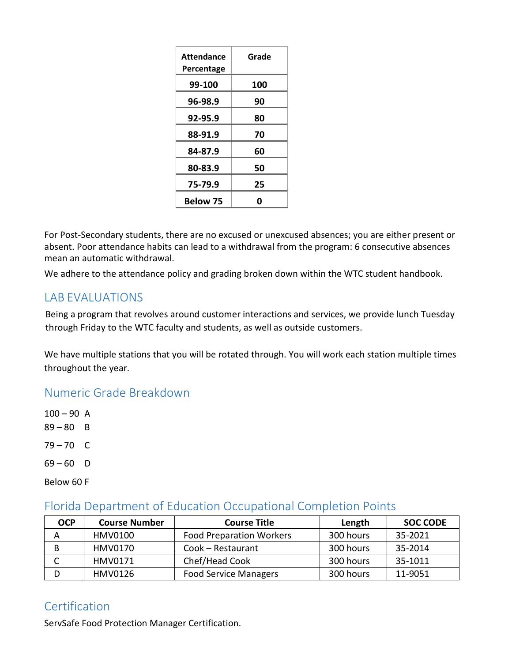| Attendance      | Grade |
|-----------------|-------|
| Percentage      |       |
| 99-100          | 100   |
| 96-98.9         | 90    |
| 92-95.9         | 80    |
| 88-91.9         | 70    |
| 84-87.9         | 60    |
| 80-83.9         | 50    |
| 75-79.9         | 25    |
| <b>Below 75</b> | Ω     |

For Post-Secondary students, there are no excused or unexcused absences; you are either present or absent. Poor attendance habits can lead to a withdrawal from the program: 6 consecutive absences mean an automatic withdrawal.

We adhere to the attendance policy and grading broken down within the WTC student handbook.

# LAB EVALUATIONS

Being a program that revolves around customer interactions and services, we provide lunch Tuesday through Friday to the WTC faculty and students, as well as outside customers.

We have multiple stations that you will be rotated through. You will work each station multiple times throughout the year.

#### Numeric Grade Breakdown

 $100 - 90$  A  $89 - 80$  B  $79 - 70$  C  $69 - 60$  D Below 60 F

#### Florida Department of Education Occupational Completion Points

| <b>OCP</b> | <b>Course Number</b> | <b>Course Title</b>             | Length    | <b>SOC CODE</b> |
|------------|----------------------|---------------------------------|-----------|-----------------|
| А          | HMV0100              | <b>Food Preparation Workers</b> | 300 hours | 35-2021         |
| в          | <b>HMV0170</b>       | Cook - Restaurant               | 300 hours | 35-2014         |
|            | HMV0171              | Chef/Head Cook                  | 300 hours | 35-1011         |
|            | <b>HMV0126</b>       | <b>Food Service Managers</b>    | 300 hours | 11-9051         |

# **Certification**

ServSafe Food Protection Manager Certification.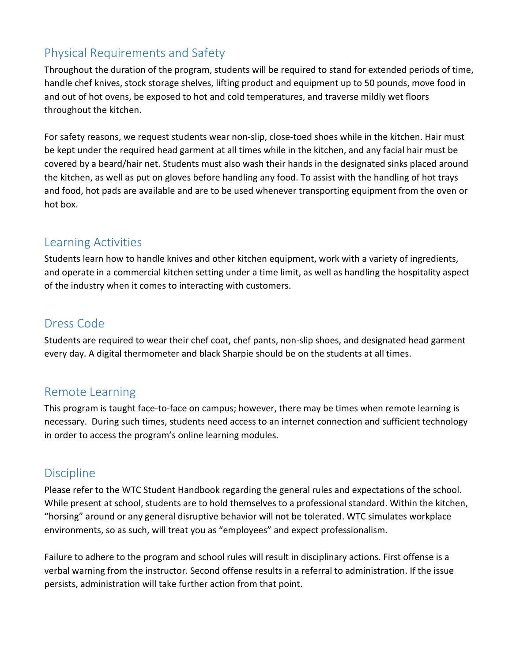# Physical Requirements and Safety

Throughout the duration of the program, students will be required to stand for extended periods of time, handle chef knives, stock storage shelves, lifting product and equipment up to 50 pounds, move food in and out of hot ovens, be exposed to hot and cold temperatures, and traverse mildly wet floors throughout the kitchen.

For safety reasons, we request students wear non-slip, close-toed shoes while in the kitchen. Hair must be kept under the required head garment at all times while in the kitchen, and any facial hair must be covered by a beard/hair net. Students must also wash their hands in the designated sinks placed around the kitchen, as well as put on gloves before handling any food. To assist with the handling of hot trays and food, hot pads are available and are to be used whenever transporting equipment from the oven or hot box.

# Learning Activities

Students learn how to handle knives and other kitchen equipment, work with a variety of ingredients, and operate in a commercial kitchen setting under a time limit, as well as handling the hospitality aspect of the industry when it comes to interacting with customers.

# Dress Code

Students are required to wear their chef coat, chef pants, non-slip shoes, and designated head garment every day. A digital thermometer and black Sharpie should be on the students at all times.

# Remote Learning

This program is taught face-to-face on campus; however, there may be times when remote learning is necessary. During such times, students need access to an internet connection and sufficient technology in order to access the program's online learning modules.

# **Discipline**

Please refer to the WTC Student Handbook regarding the general rules and expectations of the school. While present at school, students are to hold themselves to a professional standard. Within the kitchen, "horsing" around or any general disruptive behavior will not be tolerated. WTC simulates workplace environments, so as such, will treat you as "employees" and expect professionalism.

Failure to adhere to the program and school rules will result in disciplinary actions. First offense is a verbal warning from the instructor. Second offense results in a referral to administration. If the issue persists, administration will take further action from that point.